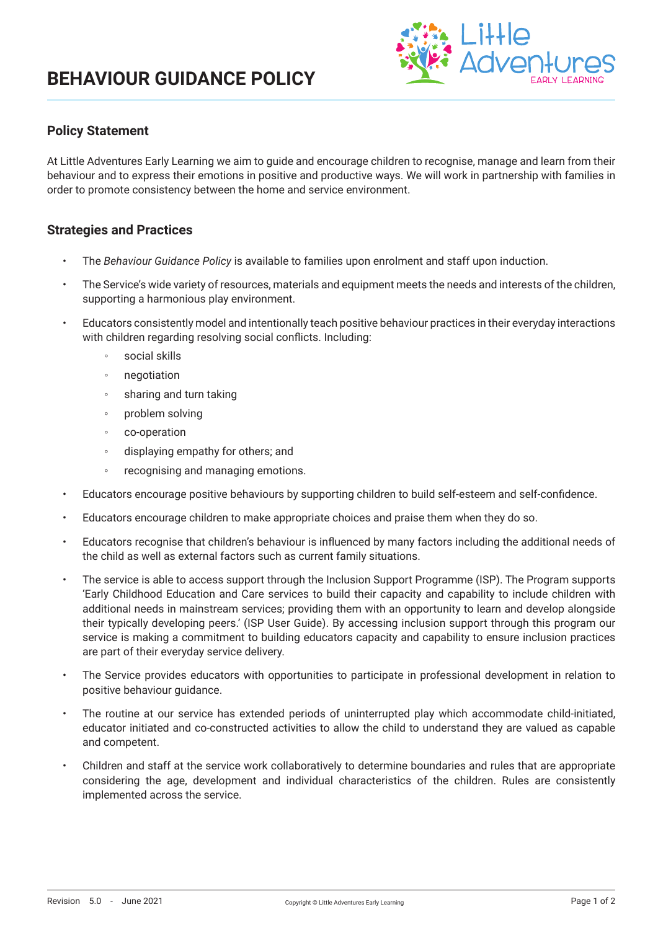# **BEHAVIOUR GUIDANCE POLICY**



### **Policy Statement**

At Little Adventures Early Learning we aim to guide and encourage children to recognise, manage and learn from their behaviour and to express their emotions in positive and productive ways. We will work in partnership with families in order to promote consistency between the home and service environment.

### **Strategies and Practices**

- The *Behaviour Guidance Policy* is available to families upon enrolment and staff upon induction.
- The Service's wide variety of resources, materials and equipment meets the needs and interests of the children, supporting a harmonious play environment.
- Educators consistently model and intentionally teach positive behaviour practices in their everyday interactions with children regarding resolving social conflicts. Including:
	- social skills
	- negotiation
	- sharing and turn taking
	- problem solving
	- co-operation
	- displaying empathy for others; and
	- recognising and managing emotions.
- Educators encourage positive behaviours by supporting children to build self-esteem and self-confidence.
- Educators encourage children to make appropriate choices and praise them when they do so.
- Educators recognise that children's behaviour is influenced by many factors including the additional needs of the child as well as external factors such as current family situations.
- The service is able to access support through the Inclusion Support Programme (ISP). The Program supports 'Early Childhood Education and Care services to build their capacity and capability to include children with additional needs in mainstream services; providing them with an opportunity to learn and develop alongside their typically developing peers.' (ISP User Guide). By accessing inclusion support through this program our service is making a commitment to building educators capacity and capability to ensure inclusion practices are part of their everyday service delivery.
- The Service provides educators with opportunities to participate in professional development in relation to positive behaviour guidance.
- The routine at our service has extended periods of uninterrupted play which accommodate child-initiated, educator initiated and co-constructed activities to allow the child to understand they are valued as capable and competent.
- Children and staff at the service work collaboratively to determine boundaries and rules that are appropriate considering the age, development and individual characteristics of the children. Rules are consistently implemented across the service.